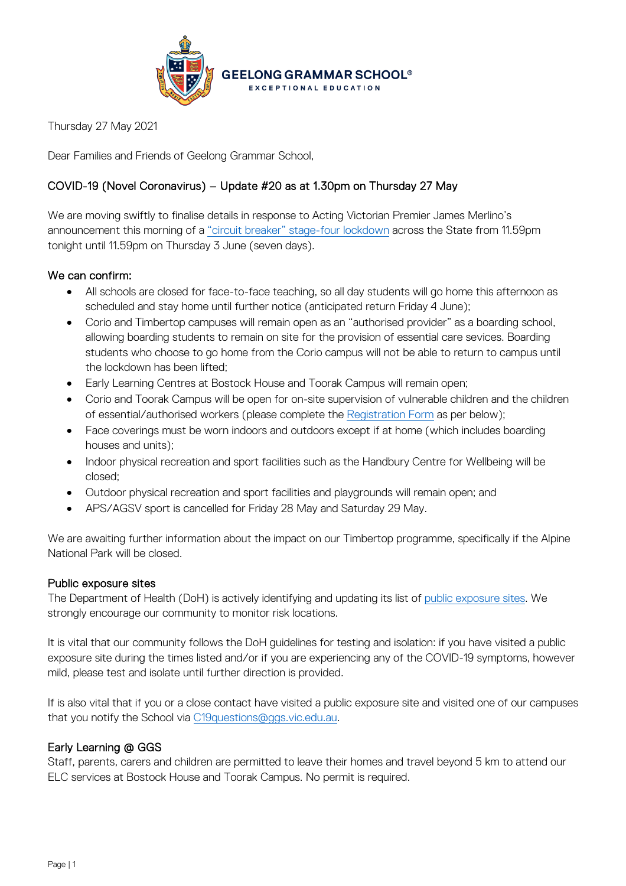

Thursday 27 May 2021

Dear Families and Friends of Geelong Grammar School,

# COVID-19 (Novel Coronavirus) – Update #20 as at 1.30pm on Thursday 27 May

We are moving swiftly to finalise details in response to Acting Victorian Premier James Merlino's announcement this morning of a ["circuit breaker" stage-four lockdown](https://www.premier.vic.gov.au/sites/default/files/2021-05/210527%20-%207%20Day%20Circuit%20Breaker%20Restrictions.pdf) across the State from 11.59pm tonight until 11.59pm on Thursday 3 June (seven days).

# We can confirm:

- All schools are closed for face-to-face teaching, so all day students will go home this afternoon as scheduled and stay home until further notice (anticipated return Friday 4 June);
- Corio and Timbertop campuses will remain open as an "authorised provider" as a boarding school, allowing boarding students to remain on site for the provision of essential care sevices. Boarding students who choose to go home from the Corio campus will not be able to return to campus until the lockdown has been lifted;
- Early Learning Centres at Bostock House and Toorak Campus will remain open;
- Corio and Toorak Campus will be open for on-site supervision of vulnerable children and the children of essential/authorised workers (please complete th[e Registration](https://www.ggs.vic.edu.au/school/our-school/leadership-and-governance/recent-statements/covid-19/supervision-of-remote-learning-ggs) Form as per below);
- Face coverings must be worn indoors and outdoors except if at home (which includes boarding houses and units);
- Indoor physical recreation and sport facilities such as the Handbury Centre for Wellbeing will be closed;
- Outdoor physical recreation and sport facilities and playgrounds will remain open; and
- APS/AGSV sport is cancelled for Friday 28 May and Saturday 29 May.

We are awaiting further information about the impact on our Timbertop programme, specifically if the Alpine National Park will be closed.

#### Public exposure sites

The Department of Health (DoH) is actively identifying and updating its list of [public exposure sites.](https://www.coronavirus.vic.gov.au/exposure-sites) We strongly encourage our community to monitor risk locations.

It is vital that our community follows the DoH guidelines for testing and isolation: if you have visited a public exposure site during the times listed and/or if you are experiencing any of the COVID-19 symptoms, however mild, please test and isolate until further direction is provided.

If is also vital that if you or a close contact have visited a public exposure site and visited one of our campuses that you notify the School via [C19questions@ggs.vic.edu.au.](mailto:C19questions@ggs.vic.edu.au)

#### Early Learning @ GGS

Staff, parents, carers and children are permitted to leave their homes and travel beyond 5 km to attend our ELC services at Bostock House and Toorak Campus. No permit is required.